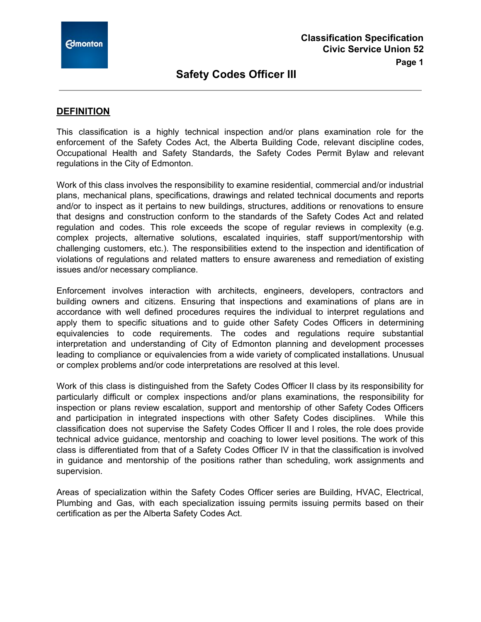

## **DEFINITION**

This classification is a highly technical inspection and/or plans examination role for the enforcement of the Safety Codes Act, the Alberta Building Code, relevant discipline codes, Occupational Health and Safety Standards, the Safety Codes Permit Bylaw and relevant regulations in the City of Edmonton.

Work of this class involves the responsibility to examine residential, commercial and/or industrial plans, mechanical plans, specifications, drawings and related technical documents and reports and/or to inspect as it pertains to new buildings, structures, additions or renovations to ensure that designs and construction conform to the standards of the Safety Codes Act and related regulation and codes. This role exceeds the scope of regular reviews in complexity (e.g. complex projects, alternative solutions, escalated inquiries, staff support/mentorship with challenging customers, etc.). The responsibilities extend to the inspection and identification of violations of regulations and related matters to ensure awareness and remediation of existing issues and/or necessary compliance.

Enforcement involves interaction with architects, engineers, developers, contractors and building owners and citizens. Ensuring that inspections and examinations of plans are in accordance with well defined procedures requires the individual to interpret regulations and apply them to specific situations and to guide other Safety Codes Officers in determining equivalencies to code requirements. The codes and regulations require substantial interpretation and understanding of City of Edmonton planning and development processes leading to compliance or equivalencies from a wide variety of complicated installations. Unusual or complex problems and/or code interpretations are resolved at this level.

Work of this class is distinguished from the Safety Codes Officer II class by its responsibility for particularly difficult or complex inspections and/or plans examinations, the responsibility for inspection or plans review escalation, support and mentorship of other Safety Codes Officers and participation in integrated inspections with other Safety Codes disciplines. While this classification does not supervise the Safety Codes Officer II and I roles, the role does provide technical advice guidance, mentorship and coaching to lower level positions. The work of this class is differentiated from that of a Safety Codes Officer IV in that the classification is involved in guidance and mentorship of the positions rather than scheduling, work assignments and supervision.

Areas of specialization within the Safety Codes Officer series are Building, HVAC, Electrical, Plumbing and Gas, with each specialization issuing permits issuing permits based on their certification as per the Alberta Safety Codes Act.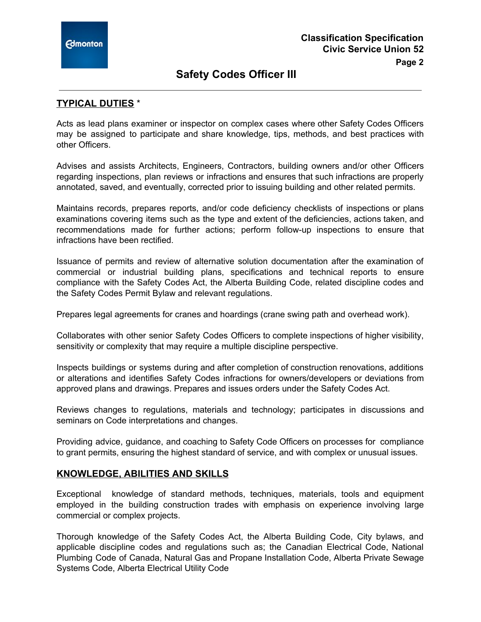## **Page 2**

## **TYPICAL DUTIES** \*

Acts as lead plans examiner or inspector on complex cases where other Safety Codes Officers may be assigned to participate and share knowledge, tips, methods, and best practices with other Officers.

Advises and assists Architects, Engineers, Contractors, building owners and/or other Officers regarding inspections, plan reviews or infractions and ensures that such infractions are properly annotated, saved, and eventually, corrected prior to issuing building and other related permits.

Maintains records, prepares reports, and/or code deficiency checklists of inspections or plans examinations covering items such as the type and extent of the deficiencies, actions taken, and recommendations made for further actions; perform follow-up inspections to ensure that infractions have been rectified.

Issuance of permits and review of alternative solution documentation after the examination of commercial or industrial building plans, specifications and technical reports to ensure compliance with the Safety Codes Act, the Alberta Building Code, related discipline codes and the Safety Codes Permit Bylaw and relevant regulations.

Prepares legal agreements for cranes and hoardings (crane swing path and overhead work).

Collaborates with other senior Safety Codes Officers to complete inspections of higher visibility, sensitivity or complexity that may require a multiple discipline perspective.

Inspects buildings or systems during and after completion of construction renovations, additions or alterations and identifies Safety Codes infractions for owners/developers or deviations from approved plans and drawings. Prepares and issues orders under the Safety Codes Act.

Reviews changes to regulations, materials and technology; participates in discussions and seminars on Code interpretations and changes.

Providing advice, guidance, and coaching to Safety Code Officers on processes for compliance to grant permits, ensuring the highest standard of service, and with complex or unusual issues.

## **KNOWLEDGE, ABILITIES AND SKILLS**

Exceptional knowledge of standard methods, techniques, materials, tools and equipment employed in the building construction trades with emphasis on experience involving large commercial or complex projects.

Thorough knowledge of the Safety Codes Act, the Alberta Building Code, City bylaws, and applicable discipline codes and regulations such as; the Canadian Electrical Code, National Plumbing Code of Canada, Natural Gas and Propane Installation Code, Alberta Private Sewage Systems Code, Alberta Electrical Utility Code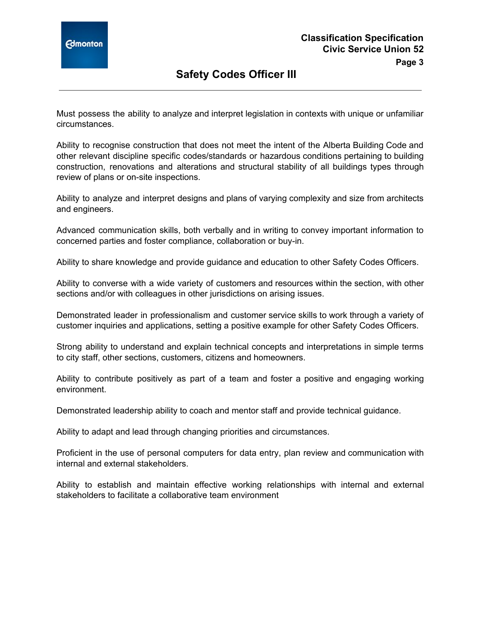

Must possess the ability to analyze and interpret legislation in contexts with unique or unfamiliar circumstances.

Ability to recognise construction that does not meet the intent of the Alberta Building Code and other relevant discipline specific codes/standards or hazardous conditions pertaining to building construction, renovations and alterations and structural stability of all buildings types through review of plans or on-site inspections.

Ability to analyze and interpret designs and plans of varying complexity and size from architects and engineers.

Advanced communication skills, both verbally and in writing to convey important information to concerned parties and foster compliance, collaboration or buy-in.

Ability to share knowledge and provide guidance and education to other Safety Codes Officers.

Ability to converse with a wide variety of customers and resources within the section, with other sections and/or with colleagues in other jurisdictions on arising issues.

Demonstrated leader in professionalism and customer service skills to work through a variety of customer inquiries and applications, setting a positive example for other Safety Codes Officers.

Strong ability to understand and explain technical concepts and interpretations in simple terms to city staff, other sections, customers, citizens and homeowners.

Ability to contribute positively as part of a team and foster a positive and engaging working environment.

Demonstrated leadership ability to coach and mentor staff and provide technical guidance.

Ability to adapt and lead through changing priorities and circumstances.

Proficient in the use of personal computers for data entry, plan review and communication with internal and external stakeholders.

Ability to establish and maintain effective working relationships with internal and external stakeholders to facilitate a collaborative team environment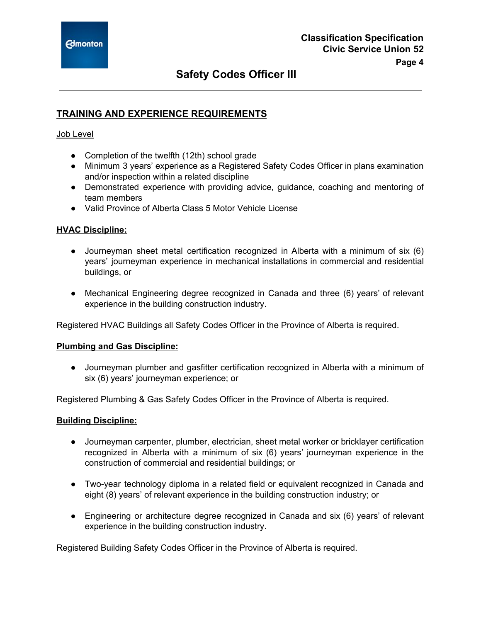## **TRAINING AND EXPERIENCE REQUIREMENTS**

#### Job Level

- Completion of the twelfth (12th) school grade
- Minimum 3 years' experience as a Registered Safety Codes Officer in plans examination and/or inspection within a related discipline
- Demonstrated experience with providing advice, guidance, coaching and mentoring of team members
- Valid Province of Alberta Class 5 Motor Vehicle License

#### **HVAC Discipline:**

- Journeyman sheet metal certification recognized in Alberta with a minimum of six (6) years' journeyman experience in mechanical installations in commercial and residential buildings, or
- Mechanical Engineering degree recognized in Canada and three (6) years' of relevant experience in the building construction industry.

Registered HVAC Buildings all Safety Codes Officer in the Province of Alberta is required.

#### **Plumbing and Gas Discipline:**

● Journeyman plumber and gasfitter certification recognized in Alberta with a minimum of six (6) years' journeyman experience; or

Registered Plumbing & Gas Safety Codes Officer in the Province of Alberta is required.

#### **Building Discipline:**

- Journeyman carpenter, plumber, electrician, sheet metal worker or bricklayer certification recognized in Alberta with a minimum of six (6) years' journeyman experience in the construction of commercial and residential buildings; or
- Two-year technology diploma in a related field or equivalent recognized in Canada and eight (8) years' of relevant experience in the building construction industry; or
- Engineering or architecture degree recognized in Canada and six (6) years' of relevant experience in the building construction industry.

Registered Building Safety Codes Officer in the Province of Alberta is required.